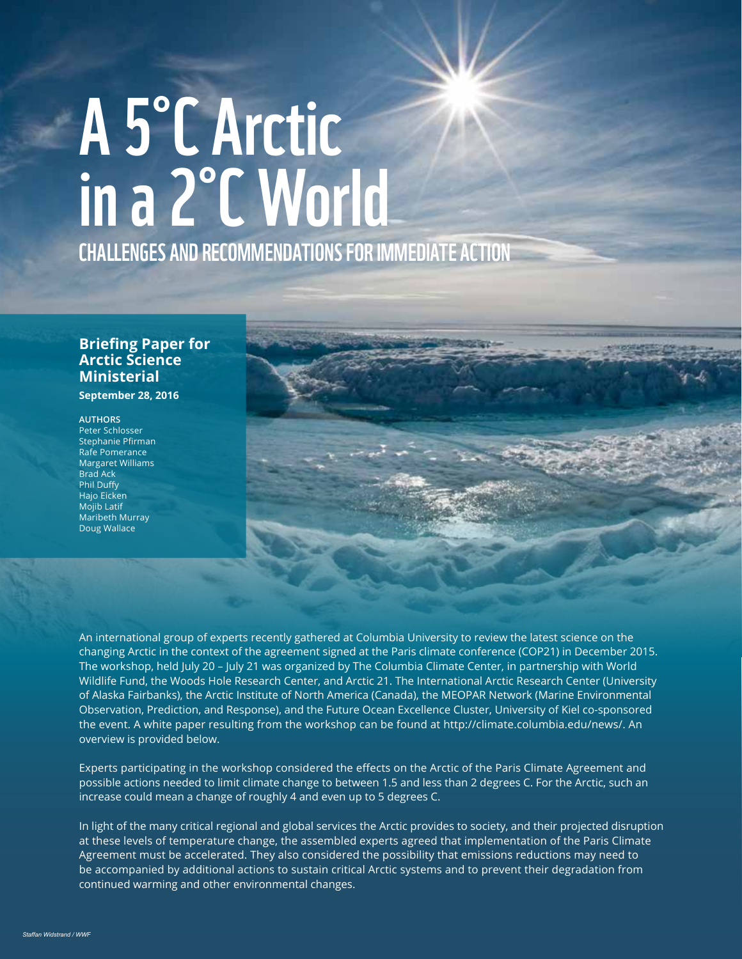# A 5˚C Arctic CHALLENGES AND RECOMMENDATIONS FOR IMMEDIATE ACTION in a 2˚C World

## **Briefing Paper for Arctic Science Ministerial**

**September 28, 2016** 

#### **AUTHORS** Peter Schlosser

Stephanie Pfirman Rafe Pomerance Margaret Williams Brad Ack Phil Duffy Hajo Eicken Mojib Latif Maribeth Murray Doug Wallace



An international group of experts recently gathered at Columbia University to review the latest science on the changing Arctic in the context of the agreement signed at the Paris climate conference (COP21) in December 2015. The workshop, held July 20 – July 21 was organized by The Columbia Climate Center, in partnership with World Wildlife Fund, the Woods Hole Research Center, and Arctic 21. The International Arctic Research Center (University of Alaska Fairbanks), the Arctic Institute of North America (Canada), the MEOPAR Network (Marine Environmental Observation, Prediction, and Response), and the Future Ocean Excellence Cluster, University of Kiel co-sponsored the event. A white paper resulting from the workshop can be found at http://climate.columbia.edu/news/. An overview is provided below.

Experts participating in the workshop considered the effects on the Arctic of the Paris Climate Agreement and possible actions needed to limit climate change to between 1.5 and less than 2 degrees C. For the Arctic, such an increase could mean a change of roughly 4 and even up to 5 degrees C.

In light of the many critical regional and global services the Arctic provides to society, and their projected disruption at these levels of temperature change, the assembled experts agreed that implementation of the Paris Climate Agreement must be accelerated. They also considered the possibility that emissions reductions may need to be accompanied by additional actions to sustain critical Arctic systems and to prevent their degradation from continued warming and other environmental changes.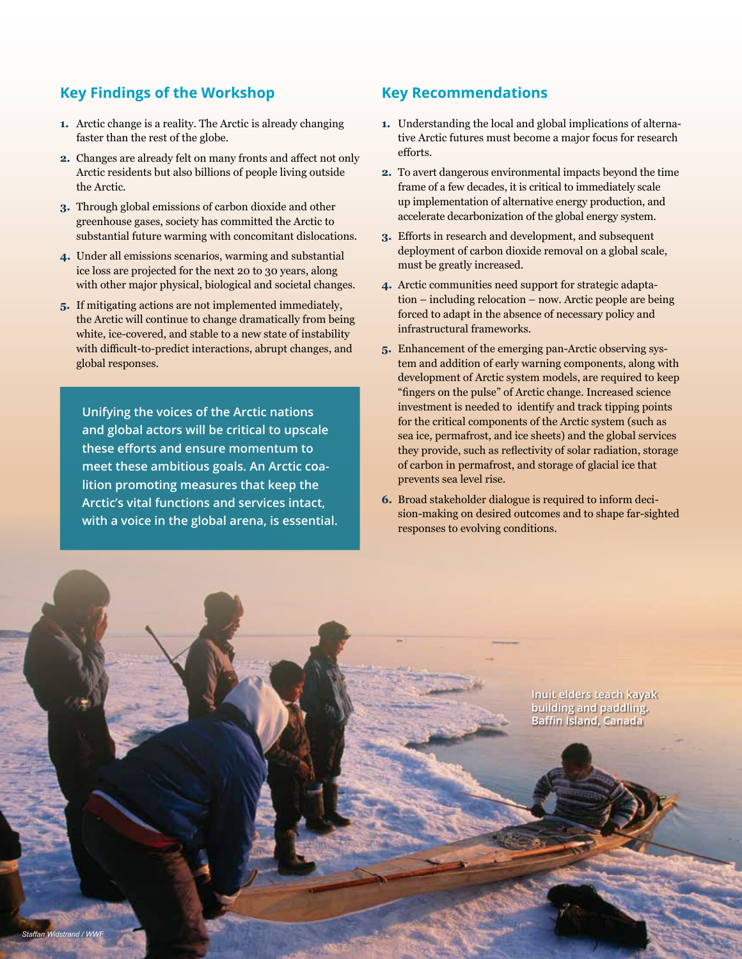## **Key Findings of the Workshop**

- **1.** Arctic change is a reality. The Arctic is already changing faster than the rest of the globe.
- **2.** Changes are already felt on many fronts and affect not only Arctic residents but also billions of people living outside the Arctic.
- **3.** Through global emissions of carbon dioxide and other greenhouse gases, society has committed the Arctic to substantial future warming with concomitant dislocations.
- **4.** Under all emissions scenarios, warming and substantial ice loss are projected for the next 20 to 30 years, along with other major physical, biological and societal changes.
- **5.** If mitigating actions are not implemented immediately, the Arctic will continue to change dramatically from being white, ice-covered, and stable to a new state of instability with difficult-to-predict interactions, abrupt changes, and global responses.

**Unifying the voices of the Arctic nations and global actors will be critical to upscale these efforts and ensure momentum to meet these ambitious goals. An Arctic coalition promoting measures that keep the Arctic's vital functions and services intact, with a voice in the global arena, is essential.** 

#### **Key Recommendations**

- **1.** Understanding the local and global implications of alternative Arctic futures must become a major focus for research efforts.
- **2.** To avert dangerous environmental impacts beyond the time frame of a few decades, it is critical to immediately scale up implementation of alternative energy production, and accelerate decarbonization of the global energy system.
- **3.** Efforts in research and development, and subsequent deployment of carbon dioxide removal on a global scale, must be greatly increased.
- **4.** Arctic communities need support for strategic adaptation – including relocation – now. Arctic people are being forced to adapt in the absence of necessary policy and infrastructural frameworks.
- **5.** Enhancement of the emerging pan-Arctic observing system and addition of early warning components, along with development of Arctic system models, are required to keep "fingers on the pulse" of Arctic change. Increased science investment is needed to identify and track tipping points for the critical components of the Arctic system (such as sea ice, permafrost, and ice sheets) and the global services they provide, such as reflectivity of solar radiation, storage of carbon in permafrost, and storage of glacial ice that prevents sea level rise.
- **6.** Broad stakeholder dialogue is required to inform decision-making on desired outcomes and to shape far-sighted responses to evolving conditions.

**Inuit elders teach kayak building and paddling. Baffin Island, Canada**